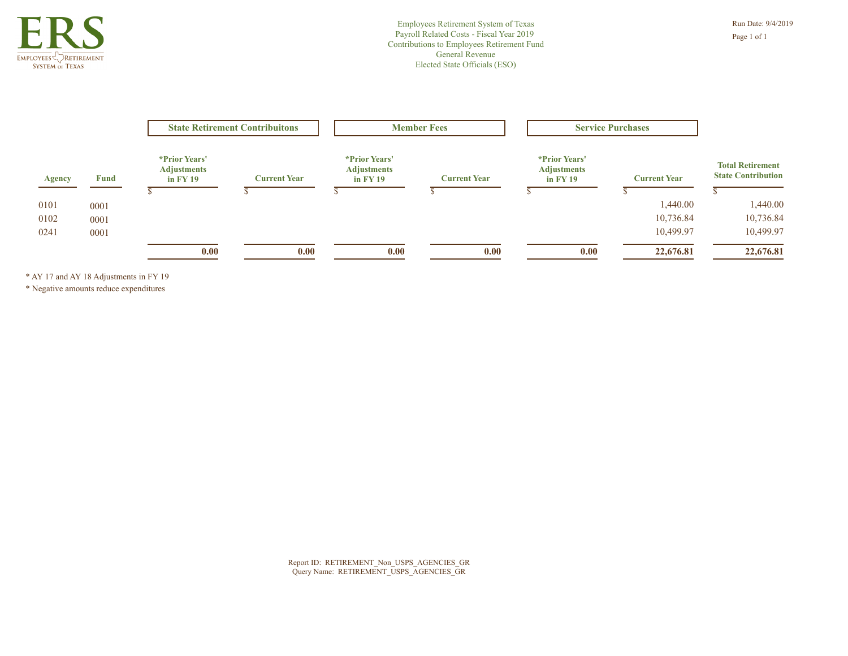

|               | <b>Fund</b> | <b>State Retirement Contribuitons</b>                    |                     | <b>Member Fees</b>                                                 |                     | <b>Service Purchases</b>                               |                     |                                                      |  |
|---------------|-------------|----------------------------------------------------------|---------------------|--------------------------------------------------------------------|---------------------|--------------------------------------------------------|---------------------|------------------------------------------------------|--|
| <b>Agency</b> |             | <i>*Prior Years'</i><br><b>Adjustments</b><br>in $FY$ 19 | <b>Current Year</b> | <i>*Prior Years'</i><br><b>Adjustments</b><br>$\overline{m}$ FY 19 | <b>Current Year</b> | <i>*Prior Years'</i><br><b>Adjustments</b><br>in FY 19 | <b>Current Year</b> | <b>Total Retirement</b><br><b>State Contribution</b> |  |
| 0101          | 0001        |                                                          |                     |                                                                    |                     |                                                        | 1,440.00            | 1,440.00                                             |  |
| 0102          | 0001        |                                                          |                     |                                                                    |                     |                                                        | 10,736.84           | 10,736.84                                            |  |
| 0241          | 0001        |                                                          |                     |                                                                    |                     |                                                        | 10,499.97           | 10,499.97                                            |  |
|               |             | 0.00                                                     | 0.00                | 0.00                                                               | 0.00                | 0.00                                                   | 22,676.81           | 22,676.81                                            |  |

\* AY 17 and AY 18 Adjustments in FY 19

\* Negative amounts reduce expenditures

Report ID: RETIREMENT\_Non\_USPS\_AGENCIES\_GR Query Name: RETIREMENT\_USPS\_AGENCIES\_GR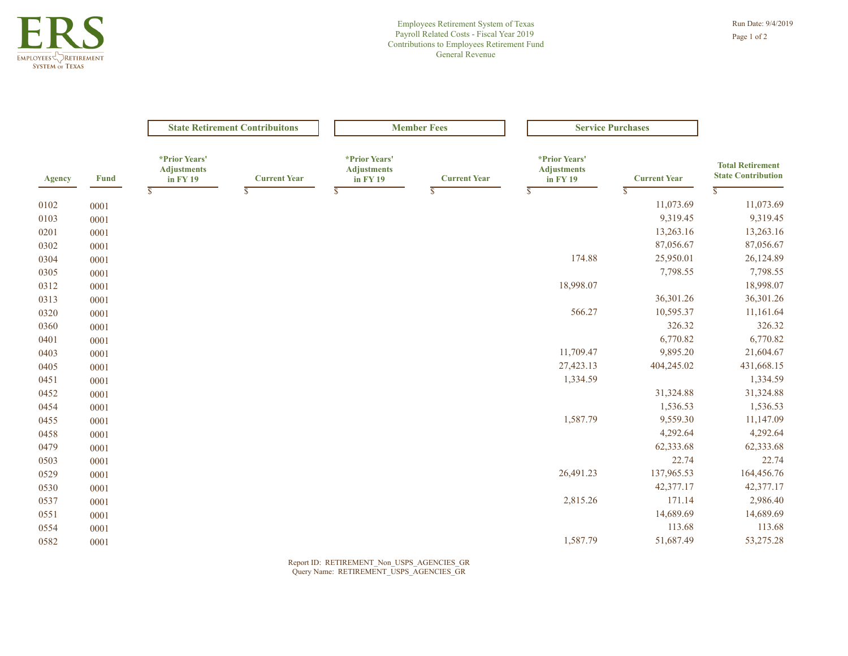

|               |             | <b>State Retirement Contribuitons</b>           |                     | <b>Member Fees</b>                                           |                         | <b>Service Purchases</b>                        |                         |                                                      |
|---------------|-------------|-------------------------------------------------|---------------------|--------------------------------------------------------------|-------------------------|-------------------------------------------------|-------------------------|------------------------------------------------------|
| <b>Agency</b> | <b>Fund</b> | *Prior Years'<br><b>Adjustments</b><br>in FY 19 | <b>Current Year</b> | *Prior Years'<br><b>Adjustments</b><br>$\overline{in}$ FY 19 | <b>Current Year</b>     | *Prior Years'<br><b>Adjustments</b><br>in FY 19 | <b>Current Year</b>     | <b>Total Retirement</b><br><b>State Contribution</b> |
|               |             | $\overline{s}$                                  | $\overline{s}$      | $\overline{s}$                                               | $\overline{\mathbb{S}}$ | $\overline{\mathbb{S}}$                         | $\overline{\mathbb{S}}$ | $\overline{\mathbb{S}}$                              |
| 0102          | 0001        |                                                 |                     |                                                              |                         |                                                 | 11,073.69               | 11,073.69                                            |
| 0103          | 0001        |                                                 |                     |                                                              |                         |                                                 | 9,319.45                | 9,319.45                                             |
| 0201          | 0001        |                                                 |                     |                                                              |                         |                                                 | 13,263.16               | 13,263.16                                            |
| 0302          | 0001        |                                                 |                     |                                                              |                         |                                                 | 87,056.67               | 87,056.67                                            |
| 0304          | 0001        |                                                 |                     |                                                              |                         | 174.88                                          | 25,950.01               | 26,124.89                                            |
| 0305          | 0001        |                                                 |                     |                                                              |                         |                                                 | 7,798.55                | 7,798.55                                             |
| 0312          | 0001        |                                                 |                     |                                                              |                         | 18,998.07                                       |                         | 18,998.07                                            |
| 0313          | 0001        |                                                 |                     |                                                              |                         |                                                 | 36,301.26               | 36,301.26                                            |
| 0320          | 0001        |                                                 |                     |                                                              |                         | 566.27                                          | 10,595.37               | 11,161.64                                            |
| 0360          | 0001        |                                                 |                     |                                                              |                         |                                                 | 326.32                  | 326.32                                               |
| 0401          | 0001        |                                                 |                     |                                                              |                         |                                                 | 6,770.82                | 6,770.82                                             |
| 0403          | 0001        |                                                 |                     |                                                              |                         | 11,709.47                                       | 9,895.20                | 21,604.67                                            |
| 0405          | 0001        |                                                 |                     |                                                              |                         | 27,423.13                                       | 404,245.02              | 431,668.15                                           |
| 0451          | 0001        |                                                 |                     |                                                              |                         | 1,334.59                                        |                         | 1,334.59                                             |
| 0452          | 0001        |                                                 |                     |                                                              |                         |                                                 | 31,324.88               | 31,324.88                                            |
| 0454          | 0001        |                                                 |                     |                                                              |                         |                                                 | 1,536.53                | 1,536.53                                             |
| 0455          | 0001        |                                                 |                     |                                                              |                         | 1,587.79                                        | 9,559.30                | 11,147.09                                            |
| 0458          | 0001        |                                                 |                     |                                                              |                         |                                                 | 4,292.64                | 4,292.64                                             |
| 0479          | 0001        |                                                 |                     |                                                              |                         |                                                 | 62,333.68               | 62,333.68                                            |
| 0503          | 0001        |                                                 |                     |                                                              |                         |                                                 | 22.74                   | 22.74                                                |
| 0529          | 0001        |                                                 |                     |                                                              |                         | 26,491.23                                       | 137,965.53              | 164,456.76                                           |
| 0530          | 0001        |                                                 |                     |                                                              |                         |                                                 | 42,377.17               | 42,377.17                                            |
| 0537          | 0001        |                                                 |                     |                                                              |                         | 2,815.26                                        | 171.14                  | 2,986.40                                             |
| 0551          | 0001        |                                                 |                     |                                                              |                         |                                                 | 14,689.69               | 14,689.69                                            |
| 0554          | 0001        |                                                 |                     |                                                              |                         |                                                 | 113.68                  | 113.68                                               |
|               |             |                                                 |                     |                                                              |                         | 1,587.79                                        | 51,687.49               | 53,275.28                                            |

Report ID: RETIREMENT\_Non\_USPS\_AGENCIES\_GR Query Name: RETIREMENT\_USPS\_AGENCIES\_GR